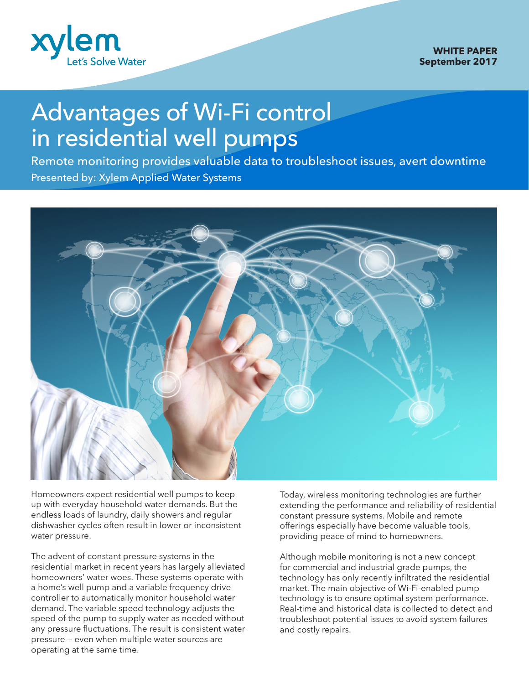

## Advantages of Wi-Fi control in residential well pumps

Presented by: Xylem Applied Water Systems Remote monitoring provides valuable data to troubleshoot issues, avert downtime



Homeowners expect residential well pumps to keep up with everyday household water demands. But the endless loads of laundry, daily showers and regular dishwasher cycles often result in lower or inconsistent water pressure.

The advent of constant pressure systems in the residential market in recent years has largely alleviated homeowners' water woes. These systems operate with a home's well pump and a variable frequency drive controller to automatically monitor household water demand. The variable speed technology adjusts the speed of the pump to supply water as needed without any pressure fluctuations. The result is consistent water pressure — even when multiple water sources are operating at the same time.

Today, wireless monitoring technologies are further extending the performance and reliability of residential constant pressure systems. Mobile and remote offerings especially have become valuable tools, providing peace of mind to homeowners.

Although mobile monitoring is not a new concept for commercial and industrial grade pumps, the technology has only recently infiltrated the residential market. The main objective of Wi-Fi-enabled pump technology is to ensure optimal system performance. Real-time and historical data is collected to detect and troubleshoot potential issues to avoid system failures and costly repairs.